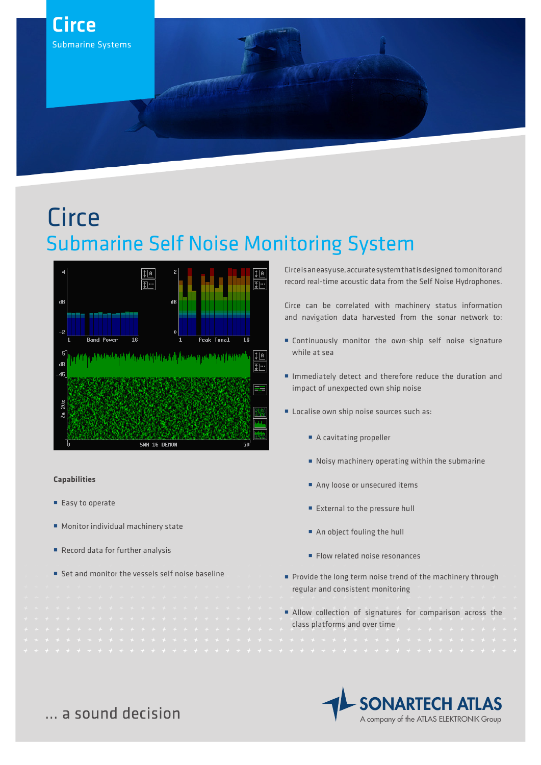

# **Circe** Submarine Self Noise Monitoring System



# **Capabilities**

- Easy to operate
- **Monitor individual machinery state**
- Record data for further analysis
- Set and monitor the vessels self noise baseline

Circe is an easy use, accurate system that is designed to monitor and record real-time acoustic data from the Self Noise Hydrophones.

Circe can be correlated with machinery status information and navigation data harvested from the sonar network to:

- Continuously monitor the own-ship self noise signature while at sea
- Immediately detect and therefore reduce the duration and impact of unexpected own ship noise
- Localise own ship noise sources such as:
	- A cavitating propeller
	- Noisy machinery operating within the submarine
	- Any loose or unsecured items
	- External to the pressure hull
	- An object fouling the hull
	- Flow related noise resonances
- **Provide the long term noise trend of the machinery through** regular and consistent monitoring
- Allow collection of signatures for comparison across the class platforms and over time



... a sound decision